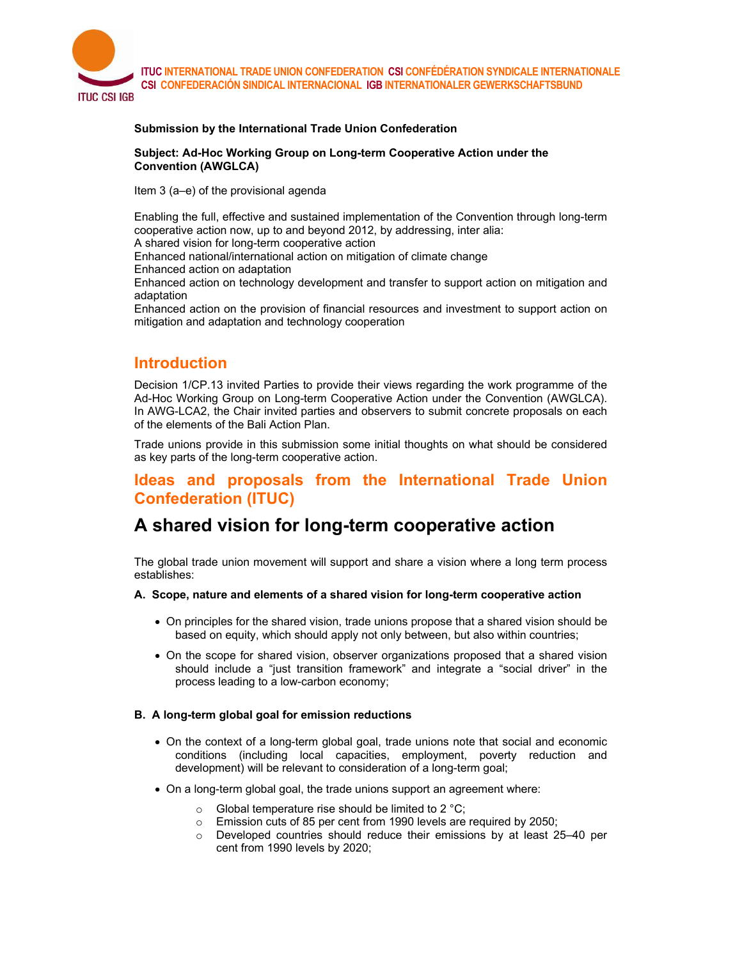

#### **Submission by the International Trade Union Confederation**

#### **Subject: Ad-Hoc Working Group on Long-term Cooperative Action under the Convention (AWGLCA)**

Item 3 (a–e) of the provisional agenda

Enabling the full, effective and sustained implementation of the Convention through long-term cooperative action now, up to and beyond 2012, by addressing, inter alia:

A shared vision for long-term cooperative action

Enhanced national/international action on mitigation of climate change

Enhanced action on adaptation

Enhanced action on technology development and transfer to support action on mitigation and adaptation

Enhanced action on the provision of financial resources and investment to support action on mitigation and adaptation and technology cooperation

### **Introduction**

Decision 1/CP.13 invited Parties to provide their views regarding the work programme of the Ad-Hoc Working Group on Long-term Cooperative Action under the Convention (AWGLCA). In AWG-LCA2, the Chair invited parties and observers to submit concrete proposals on each of the elements of the Bali Action Plan.

Trade unions provide in this submission some initial thoughts on what should be considered as key parts of the long-term cooperative action.

### **Ideas and proposals from the International Trade Union Confederation (ITUC)**

# **A shared vision for long-term cooperative action**

The global trade union movement will support and share a vision where a long term process establishes:

### **A. Scope, nature and elements of a shared vision for long-term cooperative action**

- On principles for the shared vision, trade unions propose that a shared vision should be based on equity, which should apply not only between, but also within countries;
- On the scope for shared vision, observer organizations proposed that a shared vision should include a "just transition framework" and integrate a "social driver" in the process leading to a low-carbon economy;

### **B. A long-term global goal for emission reductions**

- On the context of a long-term global goal, trade unions note that social and economic conditions (including local capacities, employment, poverty reduction and development) will be relevant to consideration of a long-term goal;
- On a long-term global goal, the trade unions support an agreement where:
	- $\circ$  Global temperature rise should be limited to 2 °C;
	- o Emission cuts of 85 per cent from 1990 levels are required by 2050;
	- $\circ$  Developed countries should reduce their emissions by at least 25–40 per cent from 1990 levels by 2020;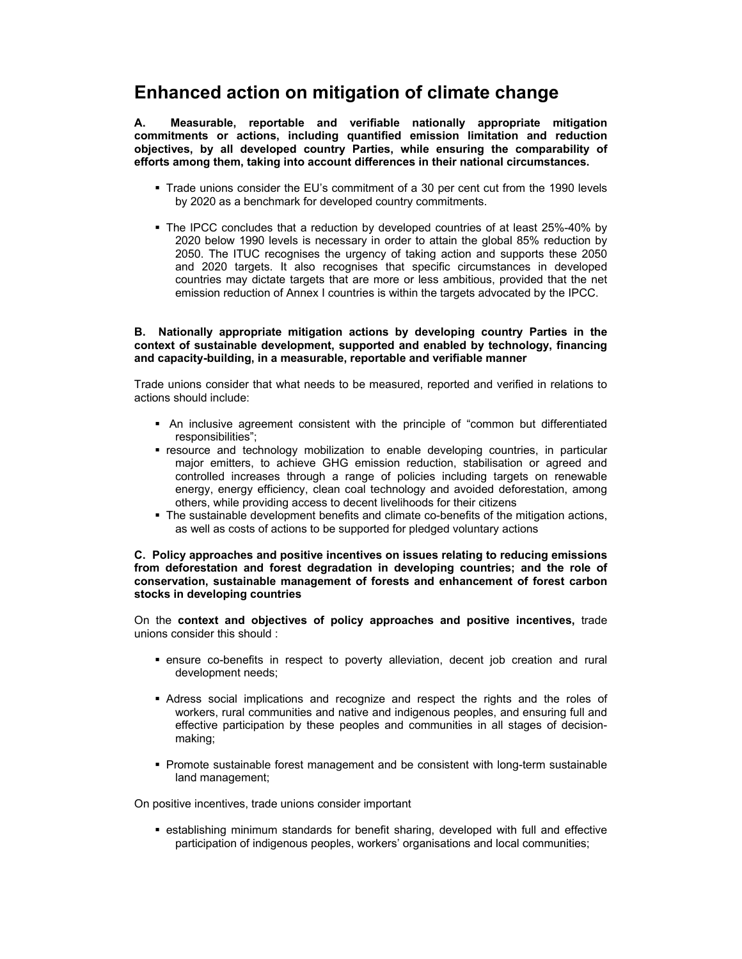## **Enhanced action on mitigation of climate change**

**A. Measurable, reportable and verifiable nationally appropriate mitigation commitments or actions, including quantified emission limitation and reduction objectives, by all developed country Parties, while ensuring the comparability of efforts among them, taking into account differences in their national circumstances.** 

- Trade unions consider the EU's commitment of a 30 per cent cut from the 1990 levels by 2020 as a benchmark for developed country commitments.
- The IPCC concludes that a reduction by developed countries of at least 25%-40% by 2020 below 1990 levels is necessary in order to attain the global 85% reduction by 2050. The ITUC recognises the urgency of taking action and supports these 2050 and 2020 targets. It also recognises that specific circumstances in developed countries may dictate targets that are more or less ambitious, provided that the net emission reduction of Annex I countries is within the targets advocated by the IPCC.

#### **B. Nationally appropriate mitigation actions by developing country Parties in the context of sustainable development, supported and enabled by technology, financing and capacity-building, in a measurable, reportable and verifiable manner**

Trade unions consider that what needs to be measured, reported and verified in relations to actions should include:

- An inclusive agreement consistent with the principle of "common but differentiated responsibilities";
- **F** resource and technology mobilization to enable developing countries, in particular major emitters, to achieve GHG emission reduction, stabilisation or agreed and controlled increases through a range of policies including targets on renewable energy, energy efficiency, clean coal technology and avoided deforestation, among others, while providing access to decent livelihoods for their citizens
- The sustainable development benefits and climate co-benefits of the mitigation actions, as well as costs of actions to be supported for pledged voluntary actions

#### **C. Policy approaches and positive incentives on issues relating to reducing emissions from deforestation and forest degradation in developing countries; and the role of conservation, sustainable management of forests and enhancement of forest carbon stocks in developing countries**

On the **context and objectives of policy approaches and positive incentives,** trade unions consider this should :

- ensure co-benefits in respect to poverty alleviation, decent job creation and rural development needs;
- Adress social implications and recognize and respect the rights and the roles of workers, rural communities and native and indigenous peoples, and ensuring full and effective participation by these peoples and communities in all stages of decisionmaking;
- Promote sustainable forest management and be consistent with long-term sustainable land management;

On positive incentives, trade unions consider important

 establishing minimum standards for benefit sharing, developed with full and effective participation of indigenous peoples, workers' organisations and local communities;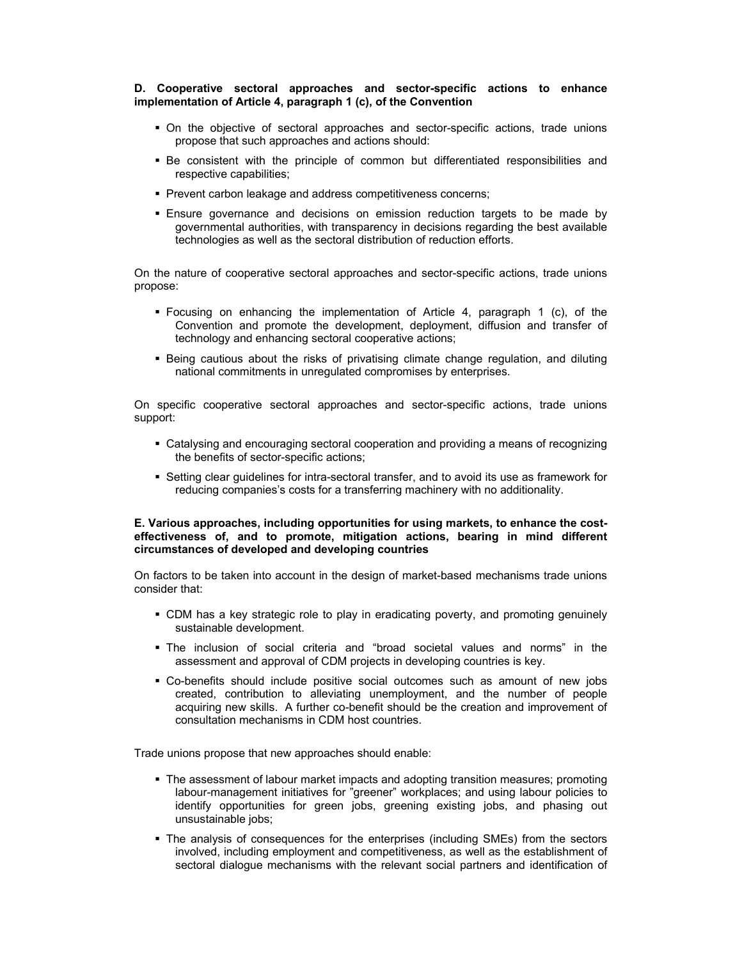#### **D. Cooperative sectoral approaches and sector-specific actions to enhance implementation of Article 4, paragraph 1 (c), of the Convention**

- On the objective of sectoral approaches and sector-specific actions, trade unions propose that such approaches and actions should:
- Be consistent with the principle of common but differentiated responsibilities and respective capabilities;
- **Prevent carbon leakage and address competitiveness concerns;**
- Ensure governance and decisions on emission reduction targets to be made by governmental authorities, with transparency in decisions regarding the best available technologies as well as the sectoral distribution of reduction efforts.

On the nature of cooperative sectoral approaches and sector-specific actions, trade unions propose:

- Focusing on enhancing the implementation of Article 4, paragraph 1 (c), of the Convention and promote the development, deployment, diffusion and transfer of technology and enhancing sectoral cooperative actions;
- **Being cautious about the risks of privatising climate change regulation, and diluting** national commitments in unregulated compromises by enterprises.

On specific cooperative sectoral approaches and sector-specific actions, trade unions support:

- Catalysing and encouraging sectoral cooperation and providing a means of recognizing the benefits of sector-specific actions;
- Setting clear guidelines for intra-sectoral transfer, and to avoid its use as framework for reducing companies's costs for a transferring machinery with no additionality.

#### **E. Various approaches, including opportunities for using markets, to enhance the costeffectiveness of, and to promote, mitigation actions, bearing in mind different circumstances of developed and developing countries**

On factors to be taken into account in the design of market-based mechanisms trade unions consider that:

- CDM has a key strategic role to play in eradicating poverty, and promoting genuinely sustainable development.
- The inclusion of social criteria and "broad societal values and norms" in the assessment and approval of CDM projects in developing countries is key.
- Co-benefits should include positive social outcomes such as amount of new jobs created, contribution to alleviating unemployment, and the number of people acquiring new skills. A further co-benefit should be the creation and improvement of consultation mechanisms in CDM host countries.

Trade unions propose that new approaches should enable:

- The assessment of labour market impacts and adopting transition measures; promoting labour-management initiatives for "greener" workplaces; and using labour policies to identify opportunities for green jobs, greening existing jobs, and phasing out unsustainable jobs;
- The analysis of consequences for the enterprises (including SMEs) from the sectors involved, including employment and competitiveness, as well as the establishment of sectoral dialogue mechanisms with the relevant social partners and identification of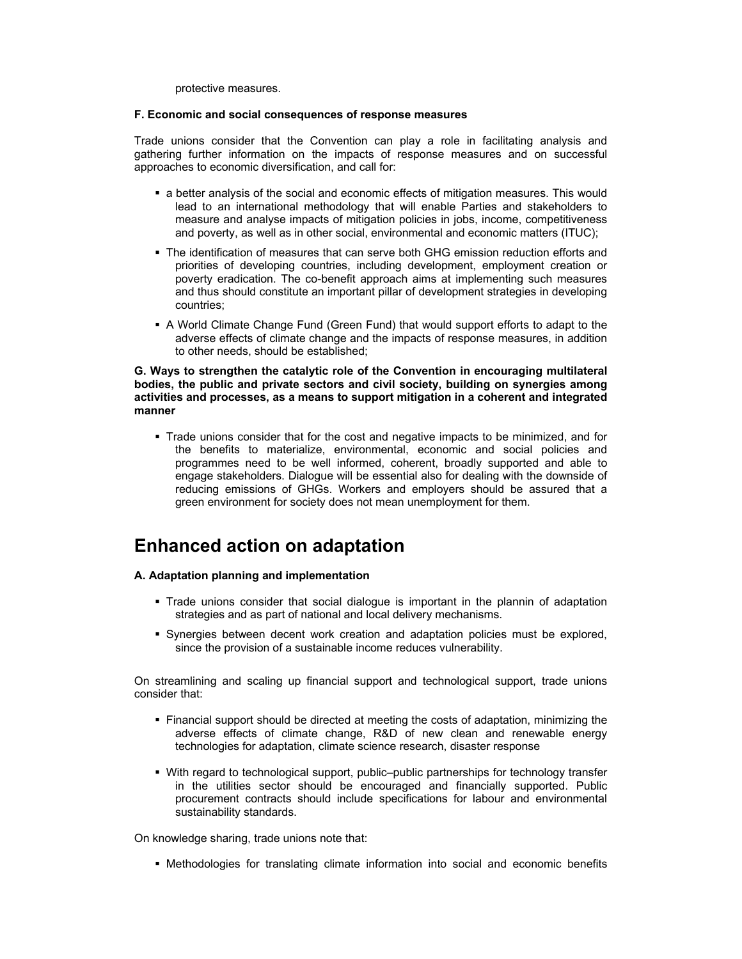protective measures.

#### **F. Economic and social consequences of response measures**

Trade unions consider that the Convention can play a role in facilitating analysis and gathering further information on the impacts of response measures and on successful approaches to economic diversification, and call for:

- a better analysis of the social and economic effects of mitigation measures. This would lead to an international methodology that will enable Parties and stakeholders to measure and analyse impacts of mitigation policies in jobs, income, competitiveness and poverty, as well as in other social, environmental and economic matters (ITUC);
- The identification of measures that can serve both GHG emission reduction efforts and priorities of developing countries, including development, employment creation or poverty eradication. The co-benefit approach aims at implementing such measures and thus should constitute an important pillar of development strategies in developing countries;
- A World Climate Change Fund (Green Fund) that would support efforts to adapt to the adverse effects of climate change and the impacts of response measures, in addition to other needs, should be established;

#### **G. Ways to strengthen the catalytic role of the Convention in encouraging multilateral bodies, the public and private sectors and civil society, building on synergies among activities and processes, as a means to support mitigation in a coherent and integrated manner**

 Trade unions consider that for the cost and negative impacts to be minimized, and for the benefits to materialize, environmental, economic and social policies and programmes need to be well informed, coherent, broadly supported and able to engage stakeholders. Dialogue will be essential also for dealing with the downside of reducing emissions of GHGs. Workers and employers should be assured that a green environment for society does not mean unemployment for them.

# **Enhanced action on adaptation**

#### **A. Adaptation planning and implementation**

- Trade unions consider that social dialogue is important in the plannin of adaptation strategies and as part of national and local delivery mechanisms.
- Synergies between decent work creation and adaptation policies must be explored, since the provision of a sustainable income reduces vulnerability.

On streamlining and scaling up financial support and technological support, trade unions consider that:

- Financial support should be directed at meeting the costs of adaptation, minimizing the adverse effects of climate change, R&D of new clean and renewable energy technologies for adaptation, climate science research, disaster response
- With regard to technological support, public–public partnerships for technology transfer in the utilities sector should be encouraged and financially supported. Public procurement contracts should include specifications for labour and environmental sustainability standards.

On knowledge sharing, trade unions note that:

**• Methodologies for translating climate information into social and economic benefits**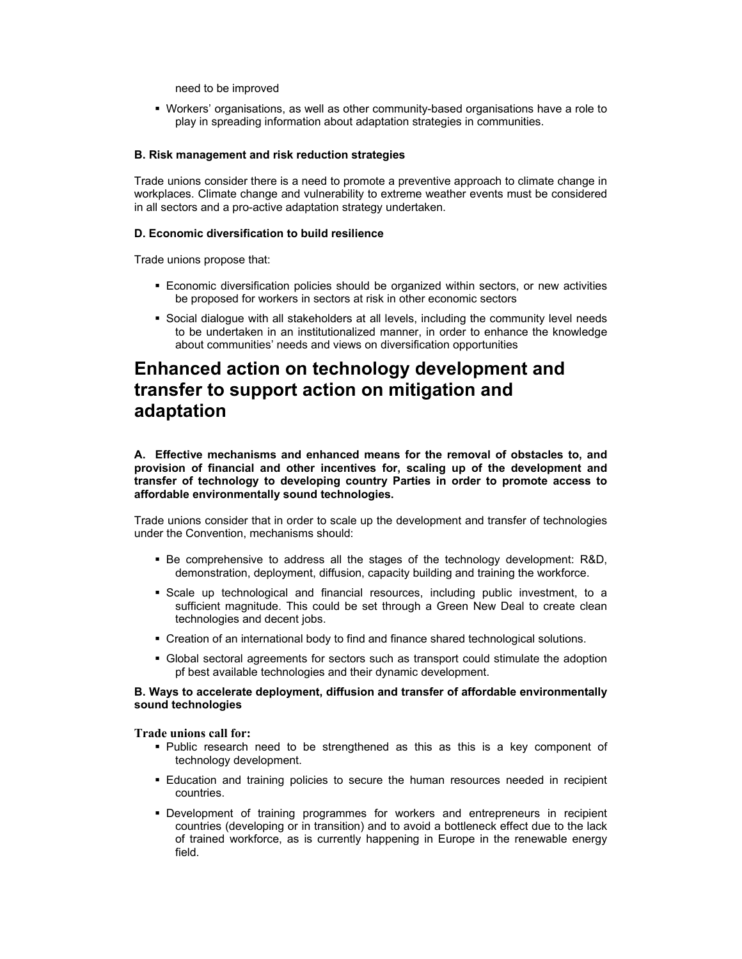need to be improved

 Workers' organisations, as well as other community-based organisations have a role to play in spreading information about adaptation strategies in communities.

#### **B. Risk management and risk reduction strategies**

Trade unions consider there is a need to promote a preventive approach to climate change in workplaces. Climate change and vulnerability to extreme weather events must be considered in all sectors and a pro-active adaptation strategy undertaken.

#### **D. Economic diversification to build resilience**

Trade unions propose that:

- Economic diversification policies should be organized within sectors, or new activities be proposed for workers in sectors at risk in other economic sectors
- Social dialogue with all stakeholders at all levels, including the community level needs to be undertaken in an institutionalized manner, in order to enhance the knowledge about communities' needs and views on diversification opportunities

### **Enhanced action on technology development and transfer to support action on mitigation and adaptation**

**A. Effective mechanisms and enhanced means for the removal of obstacles to, and provision of financial and other incentives for, scaling up of the development and transfer of technology to developing country Parties in order to promote access to affordable environmentally sound technologies.** 

Trade unions consider that in order to scale up the development and transfer of technologies under the Convention, mechanisms should:

- Be comprehensive to address all the stages of the technology development: R&D, demonstration, deployment, diffusion, capacity building and training the workforce.
- Scale up technological and financial resources, including public investment, to a sufficient magnitude. This could be set through a Green New Deal to create clean technologies and decent jobs.
- Creation of an international body to find and finance shared technological solutions.
- Global sectoral agreements for sectors such as transport could stimulate the adoption pf best available technologies and their dynamic development.

#### **B. Ways to accelerate deployment, diffusion and transfer of affordable environmentally sound technologies**

**Trade unions call for:** 

- Public research need to be strengthened as this as this is a key component of technology development.
- Education and training policies to secure the human resources needed in recipient countries.
- Development of training programmes for workers and entrepreneurs in recipient countries (developing or in transition) and to avoid a bottleneck effect due to the lack of trained workforce, as is currently happening in Europe in the renewable energy field.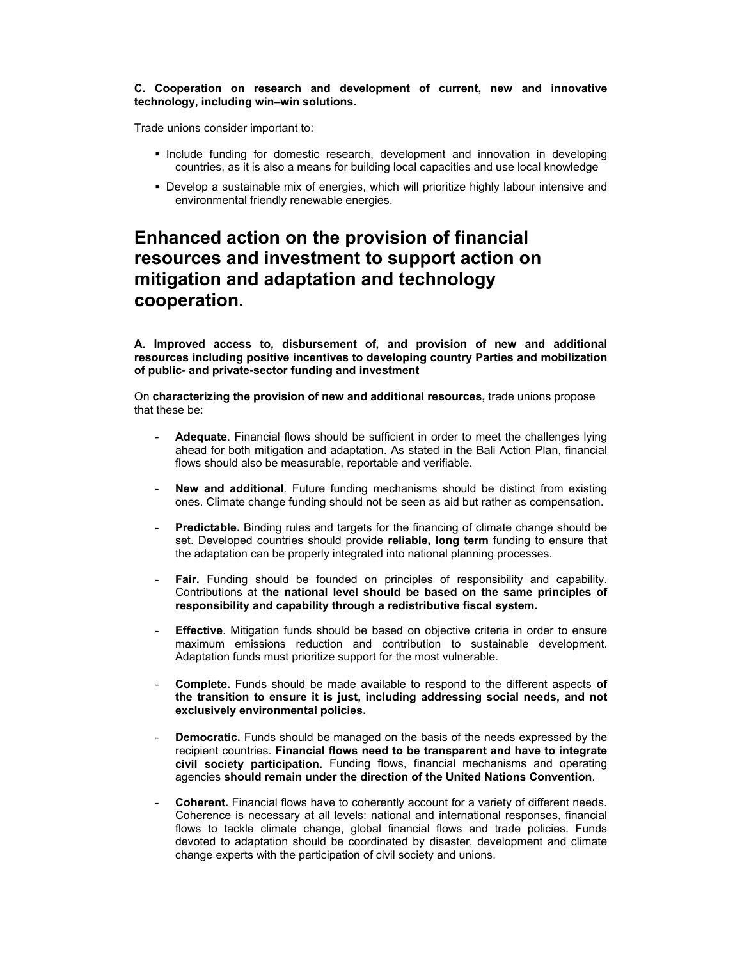#### **C. Cooperation on research and development of current, new and innovative technology, including win–win solutions.**

Trade unions consider important to:

- **Include funding for domestic research, development and innovation in developing** countries, as it is also a means for building local capacities and use local knowledge
- Develop a sustainable mix of energies, which will prioritize highly labour intensive and environmental friendly renewable energies.

# **Enhanced action on the provision of financial resources and investment to support action on mitigation and adaptation and technology cooperation.**

**A. Improved access to, disbursement of, and provision of new and additional resources including positive incentives to developing country Parties and mobilization of public- and private-sector funding and investment** 

On **characterizing the provision of new and additional resources,** trade unions propose that these be:

- **Adequate**. Financial flows should be sufficient in order to meet the challenges lying ahead for both mitigation and adaptation. As stated in the Bali Action Plan, financial flows should also be measurable, reportable and verifiable.
- **New and additional**. Future funding mechanisms should be distinct from existing ones. Climate change funding should not be seen as aid but rather as compensation.
- **Predictable.** Binding rules and targets for the financing of climate change should be set. Developed countries should provide **reliable, long term** funding to ensure that the adaptation can be properly integrated into national planning processes.
- Fair. Funding should be founded on principles of responsibility and capability. Contributions at **the national level should be based on the same principles of responsibility and capability through a redistributive fiscal system.**
- **Effective**. Mitigation funds should be based on objective criteria in order to ensure maximum emissions reduction and contribution to sustainable development. Adaptation funds must prioritize support for the most vulnerable.
- **Complete.** Funds should be made available to respond to the different aspects **of the transition to ensure it is just, including addressing social needs, and not exclusively environmental policies.**
- **Democratic.** Funds should be managed on the basis of the needs expressed by the recipient countries. **Financial flows need to be transparent and have to integrate civil society participation.** Funding flows, financial mechanisms and operating agencies **should remain under the direction of the United Nations Convention**.
- **Coherent.** Financial flows have to coherently account for a variety of different needs. Coherence is necessary at all levels: national and international responses, financial flows to tackle climate change, global financial flows and trade policies. Funds devoted to adaptation should be coordinated by disaster, development and climate change experts with the participation of civil society and unions.